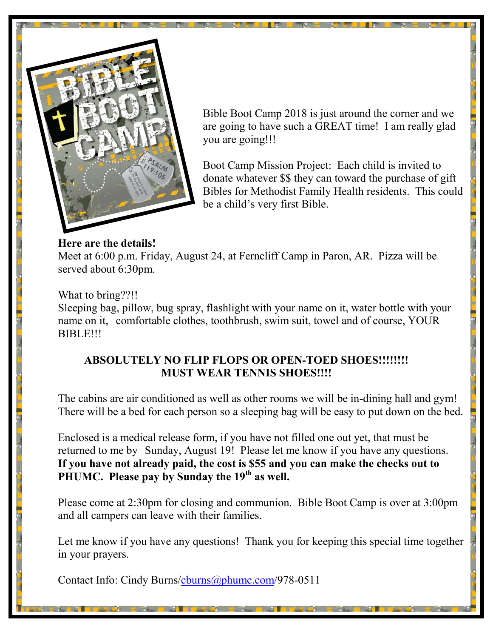

Bible Boot Camp 2018 is just around the corner and we are going to have such a GREAT time! I am really glad you are going!!!

Boot Camp Mission Project: Each child is invited to donate whatever \$\$ they can toward the purchase of gift Bibles for Methodist Family Health residents. This could be a child's very first Bible.

#### **Here are the details!**

Meet at 6:00 p.m. Friday, August 24, at Ferncliff Camp in Paron, AR. Pizza will be served about 6:30pm.

#### What to bring??!!

Sleeping bag, pillow, bug spray, flashlight with your name on it, water bottle with your name on it, comfortable clothes, toothbrush, swim suit, towel and of course, YOUR BIBLE!!!

#### **ABSOLUTELY NO FLIP FLOPS OR OPEN-TOED SHOES!!!!!!!! MUST WEAR TENNIS SHOES!!!!**

The cabins are air conditioned as well as other rooms we will be in-dining hall and gym! There will be a bed for each person so a sleeping bag will be easy to put down on the bed.

Enclosed is a medical release form, if you have not filled one out yet, that must be returned to me by Sunday, August 19! Please let me know if you have any questions. **If you have not already paid, the cost is \$55 and you can make the checks out to PHUMC. Please pay by Sunday the 19th as well.**

Please come at 2:30pm for closing and communion. Bible Boot Camp is over at 3:00pm and all campers can leave with their families.

Let me know if you have any questions! Thank you for keeping this special time together in your prayers.

Contact Info: Cindy Burns[/cburns@phumc.com/978-0511](mailto:cburns@phumc.com)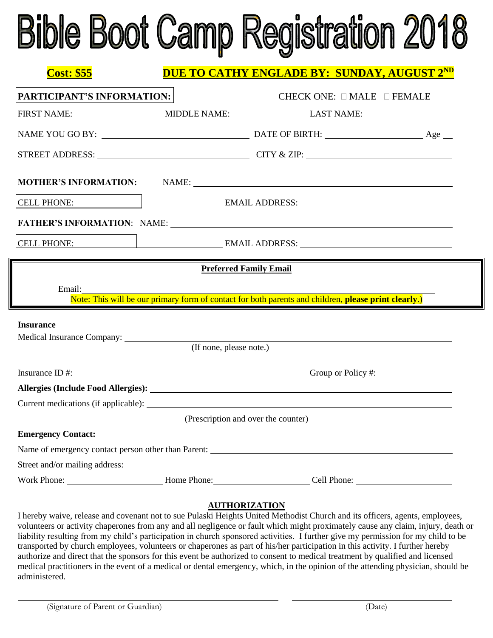# **Bible Boot Camp Registration 2018**

| <u>Cost: \$55</u>          | <b>DUE TO CATHY ENGLADE BY: SUNDAY, AUGUST 2ND</b> |                                                                                                      |  |  |  |  |
|----------------------------|----------------------------------------------------|------------------------------------------------------------------------------------------------------|--|--|--|--|
| PARTICIPANT'S INFORMATION: |                                                    | CHECK ONE: $\Box$ MALE $\Box$ FEMALE                                                                 |  |  |  |  |
|                            |                                                    |                                                                                                      |  |  |  |  |
|                            |                                                    |                                                                                                      |  |  |  |  |
|                            |                                                    |                                                                                                      |  |  |  |  |
|                            |                                                    | <b>MOTHER'S INFORMATION:</b> NAME:                                                                   |  |  |  |  |
|                            |                                                    |                                                                                                      |  |  |  |  |
|                            |                                                    |                                                                                                      |  |  |  |  |
|                            |                                                    |                                                                                                      |  |  |  |  |
|                            |                                                    | <b>Preferred Family Email</b>                                                                        |  |  |  |  |
| Email:                     |                                                    | Note: This will be our primary form of contact for both parents and children, please print clearly.) |  |  |  |  |
| <b>Insurance</b>           |                                                    |                                                                                                      |  |  |  |  |
|                            | (If none, please note.)                            |                                                                                                      |  |  |  |  |
|                            |                                                    |                                                                                                      |  |  |  |  |
|                            |                                                    |                                                                                                      |  |  |  |  |
|                            |                                                    |                                                                                                      |  |  |  |  |
|                            |                                                    |                                                                                                      |  |  |  |  |
|                            |                                                    | (Prescription and over the counter)                                                                  |  |  |  |  |
| <b>Emergency Contact:</b>  |                                                    |                                                                                                      |  |  |  |  |
|                            |                                                    |                                                                                                      |  |  |  |  |
|                            |                                                    |                                                                                                      |  |  |  |  |
|                            |                                                    |                                                                                                      |  |  |  |  |

#### **AUTHORIZATION**

I hereby waive, release and covenant not to sue Pulaski Heights United Methodist Church and its officers, agents, employees, volunteers or activity chaperones from any and all negligence or fault which might proximately cause any claim, injury, death or liability resulting from my child's participation in church sponsored activities. I further give my permission for my child to be transported by church employees, volunteers or chaperones as part of his/her participation in this activity. I further hereby authorize and direct that the sponsors for this event be authorized to consent to medical treatment by qualified and licensed medical practitioners in the event of a medical or dental emergency, which, in the opinion of the attending physician, should be administered.

i<br>L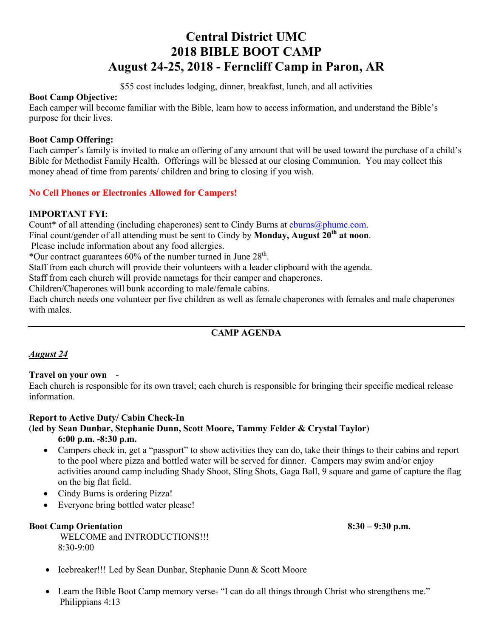### **Central District UMC 2018 BIBLE BOOT CAMP August 24-25, 2018 - Ferncliff Camp in Paron, AR**

\$55 cost includes lodging, dinner, breakfast, lunch, and all activities

#### **Boot Camp Objective:**

Each camper will become familiar with the Bible, learn how to access information, and understand the Bible's purpose for their lives.

#### **Boot Camp Offering:**

Each camper's family is invited to make an offering of any amount that will be used toward the purchase of a child's Bible for Methodist Family Health. Offerings will be blessed at our closing Communion. You may collect this money ahead of time from parents/ children and bring to closing if you wish.

#### **No Cell Phones or Electronics Allowed for Campers!**

#### **IMPORTANT FYI:**

Count\* of all attending (including chaperones) sent to Cindy Burns at [cburns@phumc.com.](mailto:cburns@phumc.com)

Final count/gender of all attending must be sent to Cindy by **Monday, August 20th at noon**.

Please include information about any food allergies.

\*Our contract guarantees  $60\%$  of the number turned in June  $28<sup>th</sup>$ .

Staff from each church will provide their volunteers with a leader clipboard with the agenda.

Staff from each church will provide nametags for their camper and chaperones.

Children/Chaperones will bunk according to male/female cabins.

Each church needs one volunteer per five children as well as female chaperones with females and male chaperones with males.

#### **CAMP AGENDA**

#### *August 24*

#### **Travel on your own** -

Each church is responsible for its own travel; each church is responsible for bringing their specific medical release information.

#### **Report to Active Duty/ Cabin Check-In**

#### (**led by Sean Dunbar, Stephanie Dunn, Scott Moore, Tammy Felder & Crystal Taylor**)

**6:00 p.m. -8:30 p.m.**

- Campers check in, get a "passport" to show activities they can do, take their things to their cabins and report to the pool where pizza and bottled water will be served for dinner. Campers may swim and/or enjoy activities around camp including Shady Shoot, Sling Shots, Gaga Ball, 9 square and game of capture the flag on the big flat field.
- Cindy Burns is ordering Pizza!
- Everyone bring bottled water please!

#### **Boot Camp Orientation 8:30 – 9:30 p.m.**

WELCOME and INTRODUCTIONS!!!  $8.30 - 9.00$ 

- Icebreaker!!! Led by Sean Dunbar, Stephanie Dunn & Scott Moore
- Learn the Bible Boot Camp memory verse- "I can do all things through Christ who strengthens me." Philippians 4:13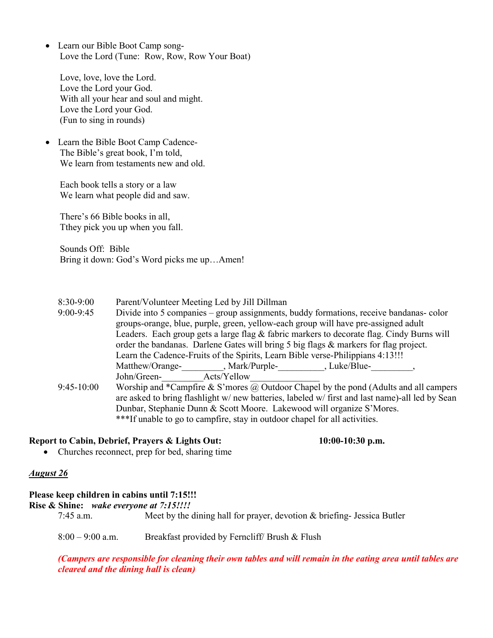• Learn our Bible Boot Camp song-Love the Lord (Tune: Row, Row, Row Your Boat)

Love, love, love the Lord. Love the Lord your God. With all your hear and soul and might. Love the Lord your God. (Fun to sing in rounds)

 Learn the Bible Boot Camp Cadence-The Bible's great book, I'm told, We learn from testaments new and old.

Each book tells a story or a law We learn what people did and saw.

There's 66 Bible books in all, Tthey pick you up when you fall.

Sounds Off: Bible Bring it down: God's Word picks me up…Amen!

- 8:30-9:00 Parent/Volunteer Meeting Led by Jill Dillman
- 9:00-9:45 Divide into 5 companies group assignments, buddy formations, receive bandanas- color groups-orange, blue, purple, green, yellow-each group will have pre-assigned adult Leaders. Each group gets a large flag & fabric markers to decorate flag. Cindy Burns will order the bandanas. Darlene Gates will bring 5 big flags & markers for flag project. Learn the Cadence-Fruits of the Spirits, Learn Bible verse-Philippians 4:13!!! Matthew/Orange-<br>  $\text{Mark/purple}$ , Mark/Purple-<br>  $\text{Huk/Blue}$ , Luke/Blue-John/Green-<br>Acts/Yellow
- 9:45-10:00 Worship and \*Campfire & S'mores @ Outdoor Chapel by the pond (Adults and all campers are asked to bring flashlight w/ new batteries, labeled w/ first and last name)-all led by Sean Dunbar, Stephanie Dunn & Scott Moore. Lakewood will organize S'Mores. \*\*\*If unable to go to campfire, stay in outdoor chapel for all activities.

#### **Report to Cabin, Debrief, Prayers & Lights Out: 10:00-10:30 p.m.**

• Churches reconnect, prep for bed, sharing time

#### *August 26*

#### **Please keep children in cabins until 7:15!!!**

**Rise & Shine:** *wake everyone at 7:15!!!!*

7:45 a.m. Meet by the dining hall for prayer, devotion & briefing- Jessica Butler

8:00 – 9:00 a.m. Breakfast provided by Ferncliff/ Brush & Flush

(Campers are responsible for cleaning their own tables and will remain in the eating area until tables are *cleared and the dining hall is clean)*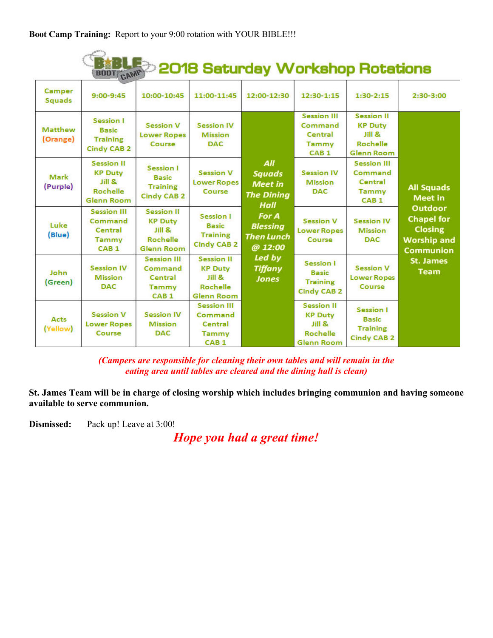#### 2018 Saturday Workshop Rotations E **BOOT**

| Camper<br><b>Squads</b>    | $9:00 - 9:45$                                                                         | 10:00-10:45                                                                    | 11:00-11:45                                                                   | 12:00-12:30                                                         | 12:30-1:15                                                                                 | $1:30-2:15$                                                                                      | $2:30-3:00$                                                                              |
|----------------------------|---------------------------------------------------------------------------------------|--------------------------------------------------------------------------------|-------------------------------------------------------------------------------|---------------------------------------------------------------------|--------------------------------------------------------------------------------------------|--------------------------------------------------------------------------------------------------|------------------------------------------------------------------------------------------|
| <b>Matthew</b><br>(Orange) | Session I<br><b>Basic</b><br><b>Training</b><br><b>Cindy CAB 2</b>                    | <b>Session V</b><br><b>Lower Ropes</b><br>Course                               | <b>Session IV</b><br><b>Mission</b><br><b>DAC</b>                             | All<br><b>Squads</b><br><b>Meet in</b><br><b>The Dining</b><br>Hall | <b>Session III</b><br>Command<br>Central<br>Tammy<br>CAB <sub>1</sub>                      | <b>Session II</b><br><b>KP Duty</b><br><b>Jill &amp;</b><br><b>Rochelle</b><br><b>Glenn Room</b> | <b>All Squads</b><br><b>Meet in</b>                                                      |
| Mark<br>(Purple)           | <b>Session II</b><br><b>KP Duty</b><br>Jill &<br><b>Rochelle</b><br><b>Glenn Room</b> | <b>Session I</b><br><b>Basic</b><br><b>Training</b><br><b>Cindy CAB 2</b>      | <b>Session V</b><br><b>Lower Ropes</b><br>Course                              |                                                                     | <b>Session IV</b><br><b>Mission</b><br><b>DAC</b>                                          | <b>Session III</b><br>Command<br>Central<br><b>Tammy</b><br>CAB <sub>1</sub>                     |                                                                                          |
| Luke<br>(Blue)             | <b>Session III</b><br>Command<br>Central<br>Tammy<br>CAB <sub>1</sub>                 | <b>Session II</b><br><b>KP Duty</b><br>Jill &<br>Rochelle<br><b>Glenn Room</b> | Session I<br><b>Basic</b><br><b>Training</b><br><b>Cindy CAB 2</b>            | For A<br><b>Blessing</b><br><b>Then Lunch</b><br>@ 12:00            | <b>Session V</b><br><b>Lower Ropes</b><br>Course                                           | <b>Session IV</b><br><b>Mission</b><br><b>DAC</b>                                                | Outdoor<br><b>Chapel for</b><br><b>Closing</b><br><b>Worship and</b><br><b>Communion</b> |
| John<br>(Green)            | <b>Session IV</b><br><b>Mission</b><br><b>DAC</b>                                     | <b>Session III</b><br>Command<br>Central<br><b>Tammy</b><br>CAB <sub>1</sub>   | <b>Session II</b><br><b>KP Duty</b><br>JillR<br>Rochelle<br><b>Glenn Room</b> | Led by<br><b>Tiffany</b><br><b>Jones</b>                            | Session I<br><b>Basic</b><br><b>Training</b><br><b>Cindy CAB 2</b>                         | <b>Session V</b><br><b>Lower Ropes</b><br>Course                                                 | St. James<br><b>Team</b>                                                                 |
| Acts<br>(Yellow)           | <b>Session V</b><br><b>Lower Ropes</b><br>Course                                      | <b>Session IV</b><br><b>Mission</b><br><b>DAC</b>                              | <b>Session III</b><br>Command<br>Central<br>Tammy<br>CAB <sub>1</sub>         |                                                                     | <b>Session II</b><br><b>KP Duty</b><br>$Jill$ $\&$<br><b>Rochelle</b><br><b>Glenn Room</b> | <b>Session I</b><br><b>Basic</b><br><b>Training</b><br><b>Cindy CAB 2</b>                        |                                                                                          |

*(Campers are responsible for cleaning their own tables and will remain in the eating area until tables are cleared and the dining hall is clean)*

**St. James Team will be in charge of closing worship which includes bringing communion and having someone available to serve communion.**

**Dismissed:** Pack up! Leave at 3:00!

*Hope you had a great time!*